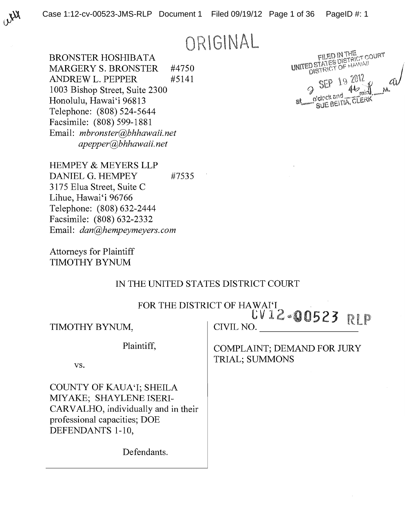ORIGINAL

**BRONSTER HOSHIBATA MARGERY S. BRONSTER** #4750 **ANDREW L. PEPPER** #5141 1003 Bishop Street, Suite 2300 Honolulu, Hawai'i 96813 Telephone: (808) 524-5644 Facsimile: (808) 599-1881 Email: mbronster@bhhawaii.net apepper@bhhawaii.net

FILED IN THE<br>UNITED STATES DISTRICT COURT<br>UNITED STATES OF HAWAII 19 2012 SUE BEITIA, CLERK

**HEMPEY & MEYERS LLP** DANIEL G. HEMPEY #7535 3175 Elua Street, Suite C Lihue, Hawai'i 96766 Telephone: (808) 632-2444 Facsimile: (808) 632-2332 Email: dan@hempeymeyers.com

**Attorneys for Plaintiff TIMOTHY BYNUM** 

### IN THE UNITED STATES DISTRICT COURT

FOR THE DISTRICT OF HAWAI'I CV12-00523 RLP

TIMOTHY BYNUM,

Plaintiff,

VS.

**COUNTY OF KAUA'I; SHEILA** MIYAKE; SHAYLENE ISERI-CARVALHO, individually and in their professional capacities; DOE DEFENDANTS 1-10,

Defendants.

CIVIL NO.

**COMPLAINT; DEMAND FOR JURY TRIAL; SUMMONS**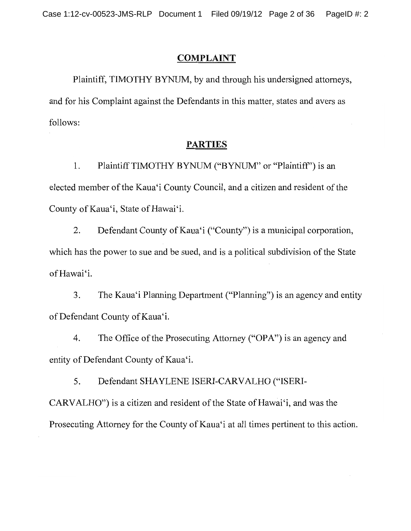## **COMPLAINT**

Plaintiff, TIMOTHY BYNUM, by and through his undersigned attorneys, and for his Complaint against the Defendants in this matter, states and avers as follows:

#### **PARTIES**

Plaintiff TIMOTHY BYNUM ("BYNUM" or "Plaintiff") is an 1. elected member of the Kaua'i County Council, and a citizen and resident of the County of Kaua'i, State of Hawai'i.

2. Defendant County of Kaua'i ("County") is a municipal corporation, which has the power to sue and be sued, and is a political subdivision of the State of Hawai'i.

The Kaua'i Planning Department ("Planning") is an agency and entity 3. of Defendant County of Kaua'i.

4. The Office of the Prosecuting Attorney ("OPA") is an agency and entity of Defendant County of Kaua'i.

5. Defendant SHAYLENE ISERI-CARVALHO ("ISERI-CARVALHO") is a citizen and resident of the State of Hawai'i, and was the Prosecuting Attorney for the County of Kaua'i at all times pertinent to this action.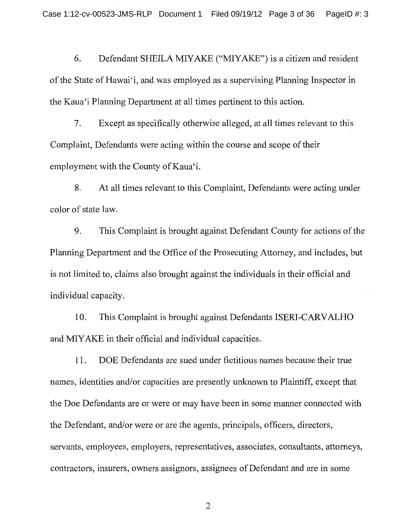Defendant SHEILA MIYAKE ("MIYAKE") is a citizen and resident 6. of the State of Hawai'i, and was employed as a supervising Planning Inspector in the Kaua'i Planning Department at all times pertinent to this action.

7. Except as specifically otherwise alleged, at all times relevant to this Complaint, Defendants were acting within the course and scope of their employment with the County of Kaua'i.

At all times relevant to this Complaint, Defendants were acting under 8. color of state law.

This Complaint is brought against Defendant County for actions of the 9. Planning Department and the Office of the Prosecuting Attorney, and includes, but is not limited to, claims also brought against the individuals in their official and individual capacity.

This Complaint is brought against Defendants ISERI-CARVALHO 10. and MIYAKE in their official and individual capacities.

DOE Defendants are sued under fictitious names because their true 11. names, identities and/or capacities are presently unknown to Plaintiff, except that the Doe Defendants are or were or may have been in some manner connected with the Defendant, and/or were or are the agents, principals, officers, directors, servants, employees, employers, representatives, associates, consultants, attorneys, contractors, insurers, owners assignors, assignees of Defendant and are in some

 $\overline{2}$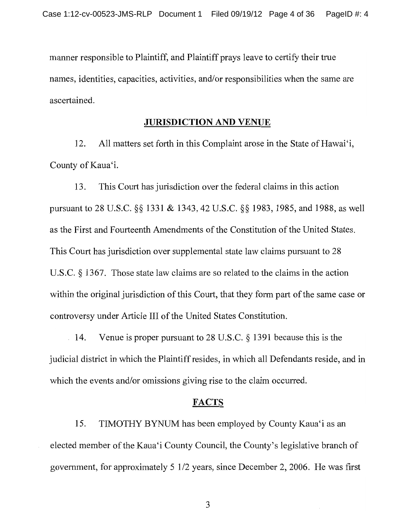manner responsible to Plaintiff, and Plaintiff prays leave to certify their true names, identities, capacities, activities, and/or responsibilities when the same are ascertained.

### **JURISDICTION AND VENUE**

12. All matters set forth in this Complaint arose in the State of Hawai'i. County of Kaua'i.

This Court has jurisdiction over the federal claims in this action 13. pursuant to 28 U.S.C. §§ 1331 & 1343, 42 U.S.C. §§ 1983, 1985, and 1988, as well as the First and Fourteenth Amendments of the Constitution of the United States. This Court has jurisdiction over supplemental state law claims pursuant to 28 U.S.C.  $\&$  1367. Those state law claims are so related to the claims in the action within the original jurisdiction of this Court, that they form part of the same case or controversy under Article III of the United States Constitution.

Venue is proper pursuant to 28 U.S.C.  $\S$  1391 because this is the  $\therefore$  14. judicial district in which the Plaintiff resides, in which all Defendants reside, and in which the events and/or omissions giving rise to the claim occurred.

#### **FACTS**

15. TIMOTHY BYNUM has been employed by County Kaua'i as an elected member of the Kaua'i County Council, the County's legislative branch of government, for approximately 5 1/2 years, since December 2, 2006. He was first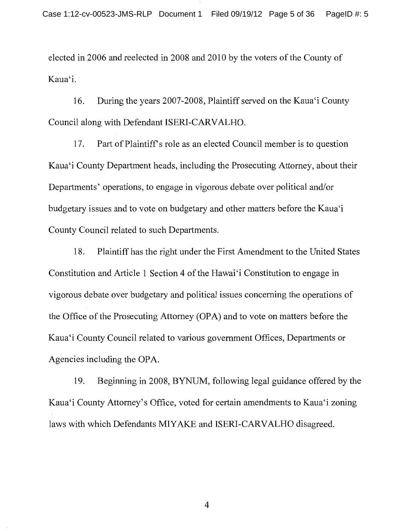elected in 2006 and reelected in 2008 and 2010 by the voters of the County of Kaua'i.

16. During the years 2007-2008, Plaintiff served on the Kaua'i County Council along with Defendant ISERI-CARVALHO.

17. Part of Plaintiff's role as an elected Council member is to question Kaua'i County Department heads, including the Prosecuting Attorney, about their Departments' operations, to engage in vigorous debate over political and/or budgetary issues and to vote on budgetary and other matters before the Kaua'i County Council related to such Departments.

Plaintiff has the right under the First Amendment to the United States 18. Constitution and Article 1 Section 4 of the Hawai'i Constitution to engage in vigorous debate over budgetary and political issues concerning the operations of the Office of the Prosecuting Attorney (OPA) and to vote on matters before the Kaua'i County Council related to various government Offices, Departments or Agencies including the OPA.

19. Beginning in 2008, BYNUM, following legal guidance offered by the Kaua'i County Attorney's Office, voted for certain amendments to Kaua'i zoning laws with which Defendants MIYAKE and ISERI-CARVALHO disagreed.

 $\overline{4}$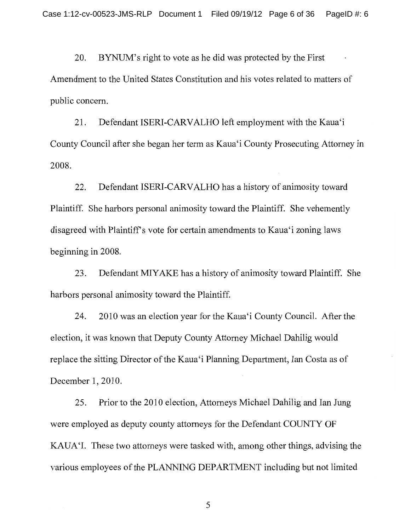BYNUM's right to vote as he did was protected by the First 20. Amendment to the United States Constitution and his votes related to matters of public concern.

 $21.$ Defendant ISERI-CARVALHO left employment with the Kaua'i County Council after she began her term as Kaua'i County Prosecuting Attorney in 2008.

22. Defendant ISERI-CARVALHO has a history of animosity toward Plaintiff. She harbors personal animosity toward the Plaintiff. She vehemently disagreed with Plaintiff's vote for certain amendments to Kaua'i zoning laws beginning in 2008.

23. Defendant MIYAKE has a history of animosity toward Plaintiff. She harbors personal animosity toward the Plaintiff.

2010 was an election year for the Kaua'i County Council. After the 24. election, it was known that Deputy County Attorney Michael Dahilig would replace the sitting Director of the Kaua'i Planning Department, Ian Costa as of December 1, 2010.

25. Prior to the 2010 election, Attorneys Michael Dahilig and Ian Jung were employed as deputy county attorneys for the Defendant COUNTY OF KAUA'I. These two attorneys were tasked with, among other things, advising the various employees of the PLANNING DEPARTMENT including but not limited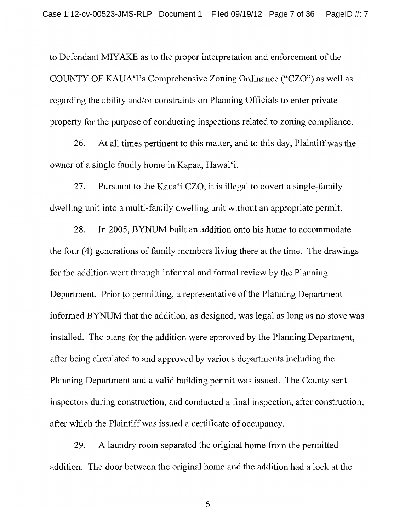to Defendant MIYAKE as to the proper interpretation and enforcement of the COUNTY OF KAUA'I's Comprehensive Zoning Ordinance ("CZO") as well as regarding the ability and/or constraints on Planning Officials to enter private property for the purpose of conducting inspections related to zoning compliance.

At all times pertinent to this matter, and to this day, Plaintiff was the 26. owner of a single family home in Kapaa, Hawai'i.

Pursuant to the Kaua'i CZO, it is illegal to covert a single-family 27. dwelling unit into a multi-family dwelling unit without an appropriate permit.

28. In 2005, BYNUM built an addition onto his home to accommodate the four (4) generations of family members living there at the time. The drawings for the addition went through informal and formal review by the Planning Department. Prior to permitting, a representative of the Planning Department informed BYNUM that the addition, as designed, was legal as long as no stove was installed. The plans for the addition were approved by the Planning Department, after being circulated to and approved by various departments including the Planning Department and a valid building permit was issued. The County sent inspectors during construction, and conducted a final inspection, after construction, after which the Plaintiff was issued a certificate of occupancy.

A laundry room separated the original home from the permitted 29. addition. The door between the original home and the addition had a lock at the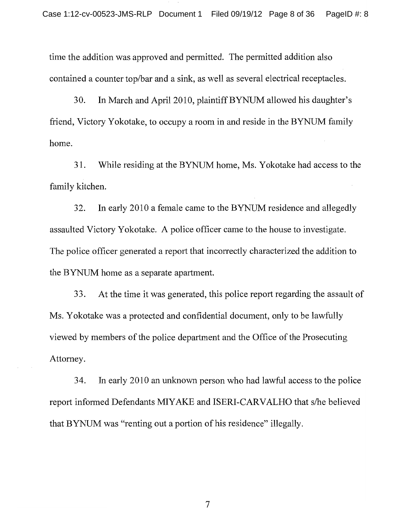time the addition was approved and permitted. The permitted addition also contained a counter top/bar and a sink, as well as several electrical receptacles.

30. In March and April 2010, plaintiff BYNUM allowed his daughter's friend, Victory Yokotake, to occupy a room in and reside in the BYNUM family home.

31. While residing at the BYNUM home, Ms. Yokotake had access to the family kitchen.

In early 2010 a female came to the BYNUM residence and allegedly 32. assaulted Victory Yokotake. A police officer came to the house to investigate. The police officer generated a report that incorrectly characterized the addition to the BYNUM home as a separate apartment.

33. At the time it was generated, this police report regarding the assault of Ms. Yokotake was a protected and confidential document, only to be lawfully viewed by members of the police department and the Office of the Prosecuting Attorney.

34. In early 2010 an unknown person who had lawful access to the police report informed Defendants MIYAKE and ISERI-CARVALHO that s/he believed that BYNUM was "renting out a portion of his residence" illegally.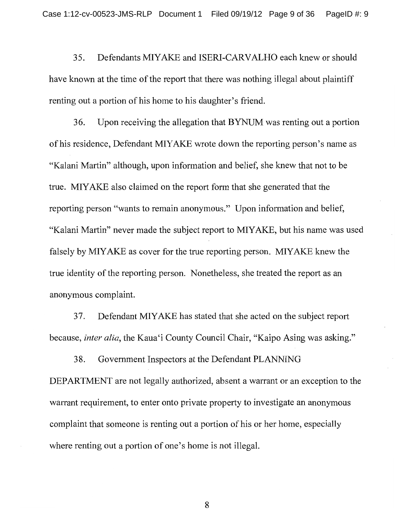Defendants MIYAKE and ISERI-CARVALHO each knew or should 35. have known at the time of the report that there was nothing illegal about plaintiff renting out a portion of his home to his daughter's friend.

36. Upon receiving the allegation that BYNUM was renting out a portion of his residence, Defendant MIYAKE wrote down the reporting person's name as "Kalani Martin" although, upon information and belief, she knew that not to be true. MIYAKE also claimed on the report form that she generated that the reporting person "wants to remain anonymous." Upon information and belief, "Kalani Martin" never made the subject report to MIYAKE, but his name was used falsely by MIYAKE as cover for the true reporting person. MIYAKE knew the true identity of the reporting person. Nonetheless, she treated the report as an anonymous complaint.

Defendant MIYAKE has stated that she acted on the subject report 37. because, *inter alia*, the Kaua'i County Council Chair, "Kaipo Asing was asking."

38. Government Inspectors at the Defendant PLANNING DEPARTMENT are not legally authorized, absent a warrant or an exception to the warrant requirement, to enter onto private property to investigate an anonymous complaint that someone is renting out a portion of his or her home, especially where renting out a portion of one's home is not illegal.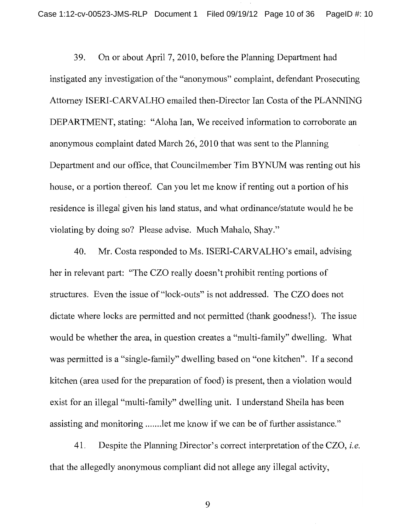On or about April 7, 2010, before the Planning Department had 39. instigated any investigation of the "anonymous" complaint, defendant Prosecuting Attorney ISERI-CARVALHO emailed then-Director Ian Costa of the PLANNING DEPARTMENT, stating: "Aloha Ian, We received information to corroborate an anonymous complaint dated March 26, 2010 that was sent to the Planning Department and our office, that Councilmember Tim BYNUM was renting out his house, or a portion thereof. Can you let me know if renting out a portion of his residence is illegal given his land status, and what ordinance/statute would he be violating by doing so? Please advise. Much Mahalo, Shay."

40. Mr. Costa responded to Ms. ISERI-CARVALHO's email, advising her in relevant part: "The CZO really doesn't prohibit renting portions of structures. Even the issue of "lock-outs" is not addressed. The CZO does not dictate where locks are permitted and not permitted (thank goodness!). The issue would be whether the area, in question creates a "multi-family" dwelling. What was permitted is a "single-family" dwelling based on "one kitchen". If a second kitchen (area used for the preparation of food) is present, then a violation would exist for an illegal "multi-family" dwelling unit. I understand Sheila has been assisting and monitoring ....... let me know if we can be of further assistance."

41. Despite the Planning Director's correct interpretation of the CZO, *i.e.* that the allegedly anonymous compliant did not allege any illegal activity,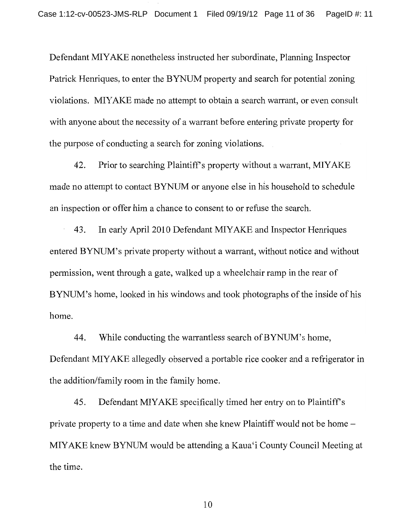Defendant MIYAKE nonetheless instructed her subordinate, Planning Inspector Patrick Henriques, to enter the BYNUM property and search for potential zoning violations. MIYAKE made no attempt to obtain a search warrant, or even consult with anyone about the necessity of a warrant before entering private property for the purpose of conducting a search for zoning violations.

42. Prior to searching Plaintiff's property without a warrant, MIYAKE made no attempt to contact BYNUM or anyone else in his household to schedule an inspection or offer him a chance to consent to or refuse the search.

43. In early April 2010 Defendant MIYAKE and Inspector Henriques entered BYNUM's private property without a warrant, without notice and without permission, went through a gate, walked up a wheelchair ramp in the rear of BYNUM's home, looked in his windows and took photographs of the inside of his home.

While conducting the warrantless search of BYNUM's home, 44. Defendant MIYAKE allegedly observed a portable rice cooker and a refrigerator in the addition/family room in the family home.

45. Defendant MIYAKE specifically timed her entry on to Plaintiff's private property to a time and date when she knew Plaintiff would not be home – MIYAKE knew BYNUM would be attending a Kaua'i County Council Meeting at the time.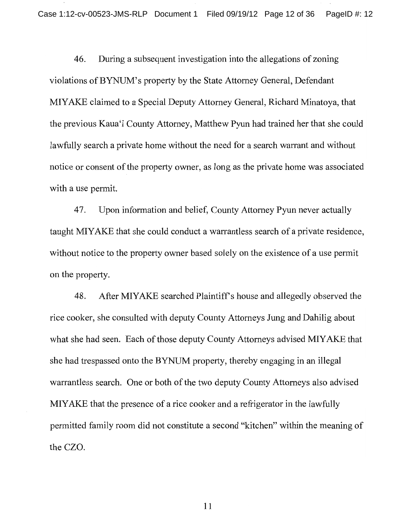46. During a subsequent investigation into the allegations of zoning violations of BYNUM's property by the State Attorney General, Defendant MIYAKE claimed to a Special Deputy Attorney General, Richard Minatoya, that the previous Kaua'i County Attorney, Matthew Pyun had trained her that she could lawfully search a private home without the need for a search warrant and without notice or consent of the property owner, as long as the private home was associated with a use permit.

47. Upon information and belief, County Attorney Pyun never actually taught MIYAKE that she could conduct a warrantless search of a private residence, without notice to the property owner based solely on the existence of a use permit on the property.

48. After MIYAKE searched Plaintiff's house and allegedly observed the rice cooker, she consulted with deputy County Attorneys Jung and Dahilig about what she had seen. Each of those deputy County Attorneys advised MIYAKE that she had trespassed onto the BYNUM property, thereby engaging in an illegal warrantless search. One or both of the two deputy County Attorneys also advised MIYAKE that the presence of a rice cooker and a refrigerator in the lawfully permitted family room did not constitute a second "kitchen" within the meaning of the CZO.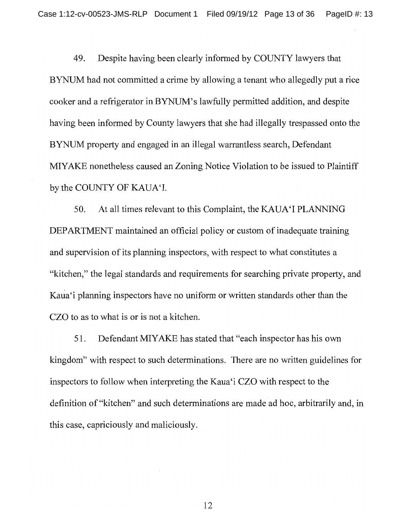Despite having been clearly informed by COUNTY lawyers that 49. BYNUM had not committed a crime by allowing a tenant who allegedly put a rice cooker and a refrigerator in BYNUM's lawfully permitted addition, and despite having been informed by County lawyers that she had illegally trespassed onto the BYNUM property and engaged in an illegal warrantless search, Defendant MIYAKE nonetheless caused an Zoning Notice Violation to be issued to Plaintiff by the COUNTY OF KAUA'I.

50. At all times relevant to this Complaint, the KAUA'I PLANNING DEPARTMENT maintained an official policy or custom of inadequate training and supervision of its planning inspectors, with respect to what constitutes a "kitchen," the legal standards and requirements for searching private property, and Kaua'i planning inspectors have no uniform or written standards other than the CZO to as to what is or is not a kitchen.

51. Defendant MIYAKE has stated that "each inspector has his own kingdom" with respect to such determinations. There are no written guidelines for inspectors to follow when interpreting the Kaua'i CZO with respect to the definition of "kitchen" and such determinations are made ad hoc, arbitrarily and, in this case, capriciously and maliciously.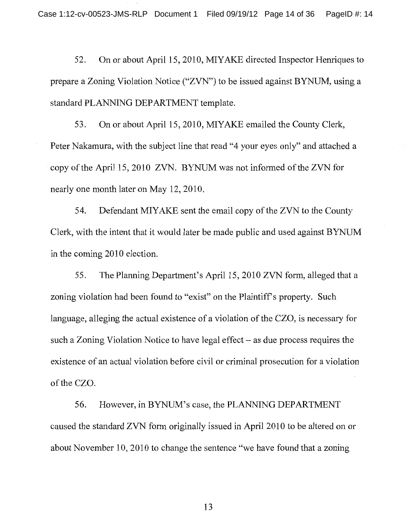On or about April 15, 2010, MIYAKE directed Inspector Henriques to 52. prepare a Zoning Violation Notice ("ZVN") to be issued against BYNUM, using a standard PLANNING DEPARTMENT template.

53. On or about April 15, 2010, MIYAKE emailed the County Clerk. Peter Nakamura, with the subject line that read "4 your eyes only" and attached a copy of the April 15, 2010 ZVN. BYNUM was not informed of the ZVN for nearly one month later on May 12, 2010.

54. Defendant MIYAKE sent the email copy of the ZVN to the County Clerk, with the intent that it would later be made public and used against BYNUM in the coming 2010 election.

55. The Planning Department's April 15, 2010 ZVN form, alleged that a zoning violation had been found to "exist" on the Plaintiff's property. Such language, alleging the actual existence of a violation of the CZO, is necessary for such a Zoning Violation Notice to have legal effect  $-$  as due process requires the existence of an actual violation before civil or criminal prosecution for a violation of the CZO.

56. However, in BYNUM's case, the PLANNING DEPARTMENT caused the standard ZVN form originally issued in April 2010 to be altered on or about November 10, 2010 to change the sentence "we have found that a zoning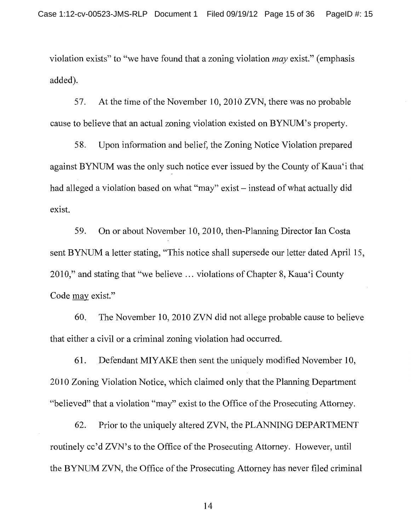violation exists" to "we have found that a zoning violation *may* exist." (emphasis added).

57. At the time of the November 10, 2010 ZVN, there was no probable cause to believe that an actual zoning violation existed on BYNUM's property.

58. Upon information and belief, the Zoning Notice Violation prepared against BYNUM was the only such notice ever issued by the County of Kaua'i that had alleged a violation based on what "may" exist – instead of what actually did exist.

59. On or about November 10, 2010, then-Planning Director Ian Costa sent BYNUM a letter stating, "This notice shall supersede our letter dated April 15, 2010," and stating that "we believe ... violations of Chapter 8, Kaua'i County Code may exist."

60. The November 10, 2010 ZVN did not allege probable cause to believe that either a civil or a criminal zoning violation had occurred.

Defendant MIYAKE then sent the uniquely modified November 10, 61. 2010 Zoning Violation Notice, which claimed only that the Planning Department "believed" that a violation "may" exist to the Office of the Prosecuting Attorney.

Prior to the uniquely altered ZVN, the PLANNING DEPARTMENT 62. routinely cc'd ZVN's to the Office of the Prosecuting Attorney. However, until the BYNUM ZVN, the Office of the Prosecuting Attorney has never filed criminal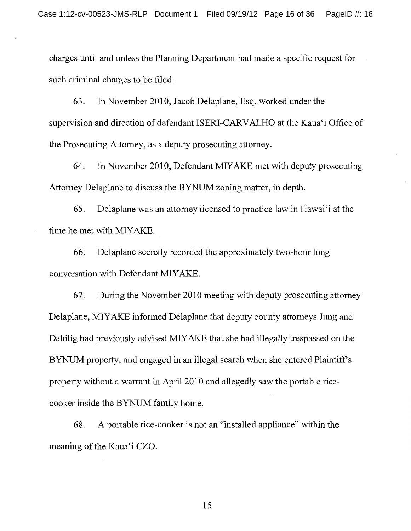charges until and unless the Planning Department had made a specific request for such criminal charges to be filed.

In November 2010, Jacob Delaplane, Esq. worked under the 63. supervision and direction of defendant ISERI-CARVALHO at the Kaua'i Office of the Prosecuting Attorney, as a deputy prosecuting attorney.

64. In November 2010, Defendant MIYAKE met with deputy prosecuting Attorney Delaplane to discuss the BYNUM zoning matter, in depth.

65. Delaplane was an attorney licensed to practice law in Hawai'i at the time he met with MIYAKE.

Delaplane secretly recorded the approximately two-hour long 66. conversation with Defendant MIYAKE.

67. During the November 2010 meeting with deputy prosecuting attorney Delaplane, MIYAKE informed Delaplane that deputy county attorneys Jung and Dahilig had previously advised MIYAKE that she had illegally trespassed on the BYNUM property, and engaged in an illegal search when she entered Plaintiff's property without a warrant in April 2010 and allegedly saw the portable ricecooker inside the BYNUM family home.

A portable rice-cooker is not an "installed appliance" within the 68. meaning of the Kaua'i CZO.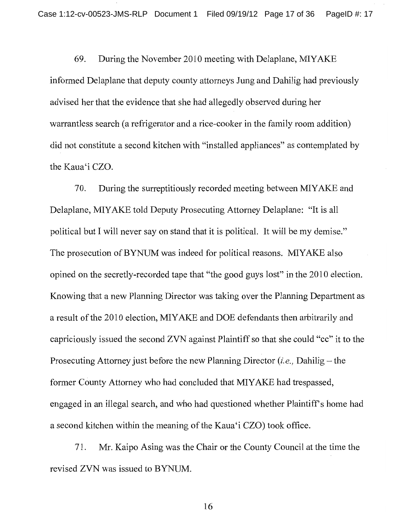69. During the November 2010 meeting with Delaplane, MIYAKE informed Delaplane that deputy county attorneys Jung and Dahilig had previously advised her that the evidence that she had allegedly observed during her warrantless search (a refrigerator and a rice-cooker in the family room addition) did not constitute a second kitchen with "installed appliances" as contemplated by the Kaua'i CZO.

During the surreptitiously recorded meeting between MIYAKE and 70. Delaplane, MIYAKE told Deputy Prosecuting Attorney Delaplane: "It is all political but I will never say on stand that it is political. It will be my demise." The prosecution of BYNUM was indeed for political reasons. MIYAKE also opined on the secretly-recorded tape that "the good guys lost" in the 2010 election. Knowing that a new Planning Director was taking over the Planning Department as a result of the 2010 election, MIYAKE and DOE defendants then arbitrarily and capriciously issued the second ZVN against Plaintiff so that she could "cc" it to the Prosecuting Attorney just before the new Planning Director (*i.e.*, Dahilig – the former County Attorney who had concluded that MIYAKE had trespassed, engaged in an illegal search, and who had questioned whether Plaintiff's home had a second kitchen within the meaning of the Kaua'i CZO) took office.

71. Mr. Kaipo Asing was the Chair or the County Council at the time the revised ZVN was issued to BYNUM.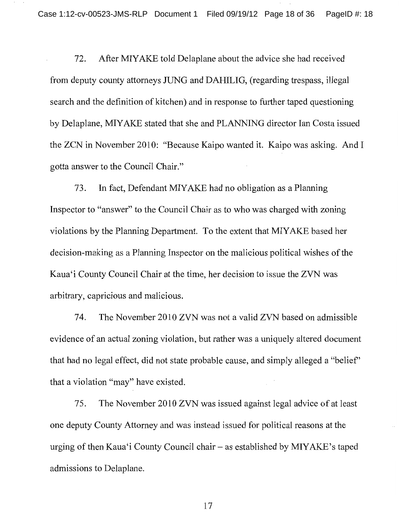After MIYAKE told Delaplane about the advice she had received 72. from deputy county attorneys JUNG and DAHILIG, (regarding trespass, illegal search and the definition of kitchen) and in response to further taped questioning by Delaplane, MIYAKE stated that she and PLANNING director Ian Costa issued the ZCN in November 2010: "Because Kaipo wanted it. Kaipo was asking. And I gotta answer to the Council Chair."

73. In fact, Defendant MIYAKE had no obligation as a Planning Inspector to "answer" to the Council Chair as to who was charged with zoning violations by the Planning Department. To the extent that MIYAKE based her decision-making as a Planning Inspector on the malicious political wishes of the Kaua'i County Council Chair at the time, her decision to issue the ZVN was arbitrary, capricious and malicious.

74. The November 2010 ZVN was not a valid ZVN based on admissible evidence of an actual zoning violation, but rather was a uniquely altered document that had no legal effect, did not state probable cause, and simply alleged a "belief" that a violation "may" have existed.

75. The November 2010 ZVN was issued against legal advice of at least one deputy County Attorney and was instead issued for political reasons at the urging of then Kaua'i County Council chair – as established by MIYAKE's taped admissions to Delaplane.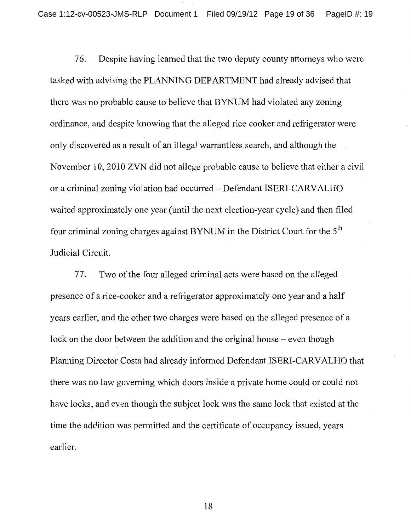Despite having learned that the two deputy county attorneys who were 76. tasked with advising the PLANNING DEPARTMENT had already advised that there was no probable cause to believe that BYNUM had violated any zoning ordinance, and despite knowing that the alleged rice cooker and refrigerator were only discovered as a result of an illegal warrantless search, and although the November 10, 2010 ZVN did not allege probable cause to believe that either a civil or a criminal zoning violation had occurred - Defendant ISERI-CARVALHO waited approximately one year (until the next election-year cycle) and then filed four criminal zoning charges against BYNUM in the District Court for the 5<sup>th</sup> Judicial Circuit.

Two of the four alleged criminal acts were based on the alleged 77. presence of a rice-cooker and a refrigerator approximately one year and a half years earlier, and the other two charges were based on the alleged presence of a lock on the door between the addition and the original house – even though Planning Director Costa had already informed Defendant ISERI-CARVALHO that there was no law governing which doors inside a private home could or could not have locks, and even though the subject lock was the same lock that existed at the time the addition was permitted and the certificate of occupancy issued, years earlier.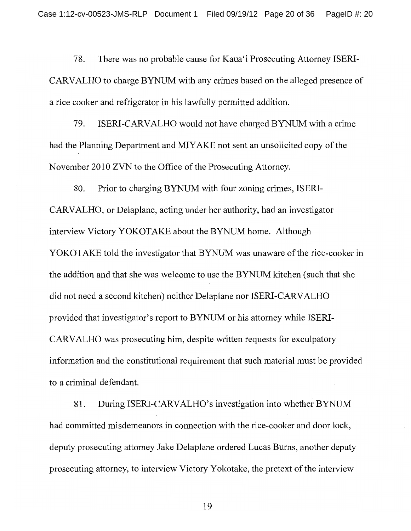78. There was no probable cause for Kaua'i Prosecuting Attorney ISERI-CARVALHO to charge BYNUM with any crimes based on the alleged presence of a rice cooker and refrigerator in his lawfully permitted addition.

79. ISERI-CARVALHO would not have charged BYNUM with a crime had the Planning Department and MIYAKE not sent an unsolicited copy of the November 2010 ZVN to the Office of the Prosecuting Attorney.

80. Prior to charging BYNUM with four zoning crimes, ISERI-CARVALHO, or Delaplane, acting under her authority, had an investigator interview Victory YOKOTAKE about the BYNUM home. Although YOKOTAKE told the investigator that BYNUM was unaware of the rice-cooker in the addition and that she was welcome to use the BYNUM kitchen (such that she did not need a second kitchen) neither Delaplane nor ISERI-CARVALHO provided that investigator's report to BYNUM or his attorney while ISERI-CARVALHO was prosecuting him, despite written requests for exculpatory information and the constitutional requirement that such material must be provided to a criminal defendant.

81. During ISERI-CARVALHO's investigation into whether BYNUM had committed misdemeanors in connection with the rice-cooker and door lock, deputy prosecuting attorney Jake Delaplane ordered Lucas Burns, another deputy prosecuting attorney, to interview Victory Yokotake, the pretext of the interview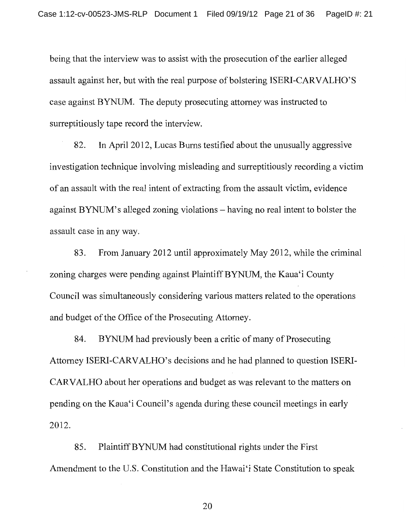being that the interview was to assist with the prosecution of the earlier alleged assault against her, but with the real purpose of bolstering ISERI-CARVALHO'S case against BYNUM. The deputy prosecuting attorney was instructed to surreptitiously tape record the interview.

82. In April 2012, Lucas Burns testified about the unusually aggressive investigation technique involving misleading and surreptitiously recording a victim of an assault with the real intent of extracting from the assault victim, evidence against BYNUM's alleged zoning violations – having no real intent to bolster the assault case in any way.

83. From January 2012 until approximately May 2012, while the criminal zoning charges were pending against Plaintiff BYNUM, the Kaua'i County Council was simultaneously considering various matters related to the operations and budget of the Office of the Prosecuting Attorney.

BYNUM had previously been a critic of many of Prosecuting 84. Attorney ISERI-CARVALHO's decisions and he had planned to question ISERI-CARVALHO about her operations and budget as was relevant to the matters on pending on the Kaua'i Council's agenda during these council meetings in early 2012.

Plaintiff BYNUM had constitutional rights under the First 85. Amendment to the U.S. Constitution and the Hawai'i State Constitution to speak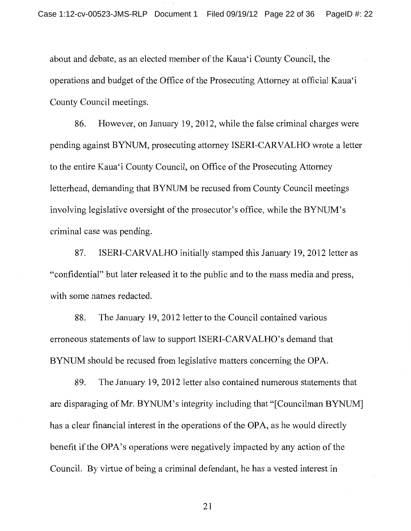about and debate, as an elected member of the Kaua'i County Council, the operations and budget of the Office of the Prosecuting Attorney at official Kaua'i County Council meetings.

However, on January 19, 2012, while the false criminal charges were 86. pending against BYNUM, prosecuting attorney ISERI-CARVALHO wrote a letter to the entire Kaua'i County Council, on Office of the Prosecuting Attorney letterhead, demanding that BYNUM be recused from County Council meetings involving legislative oversight of the prosecutor's office, while the BYNUM's criminal case was pending.

87. ISERI-CARVALHO initially stamped this January 19, 2012 letter as "confidential" but later released it to the public and to the mass media and press, with some names redacted.

88. The January 19, 2012 letter to the Council contained various erroneous statements of law to support ISERI-CARVALHO's demand that BYNUM should be recused from legislative matters concerning the OPA.

89. The January 19, 2012 letter also contained numerous statements that are disparaging of Mr. BYNUM's integrity including that "[Councilman BYNUM] has a clear financial interest in the operations of the OPA, as he would directly benefit if the OPA's operations were negatively impacted by any action of the Council. By virtue of being a criminal defendant, he has a vested interest in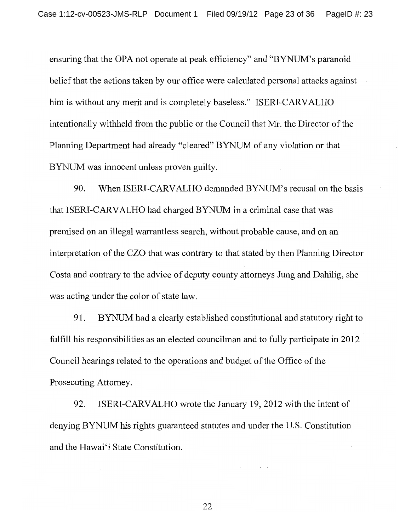ensuring that the OPA not operate at peak efficiency" and "BYNUM's paranoid belief that the actions taken by our office were calculated personal attacks against him is without any merit and is completely baseless." ISERI-CARVALHO intentionally withheld from the public or the Council that Mr. the Director of the Planning Department had already "cleared" BYNUM of any violation or that BYNUM was innocent unless proven guilty.

When ISERI-CARVALHO demanded BYNUM's recusal on the basis 90. that ISERI-CARVALHO had charged BYNUM in a criminal case that was premised on an illegal warrantless search, without probable cause, and on an interpretation of the CZO that was contrary to that stated by then Planning Director Costa and contrary to the advice of deputy county attorneys Jung and Dahilig, she was acting under the color of state law.

BYNUM had a clearly established constitutional and statutory right to 91. fulfill his responsibilities as an elected councilman and to fully participate in 2012 Council hearings related to the operations and budget of the Office of the Prosecuting Attorney.

92. ISERI-CARVALHO wrote the January 19, 2012 with the intent of denying BYNUM his rights guaranteed statutes and under the U.S. Constitution and the Hawai'i State Constitution.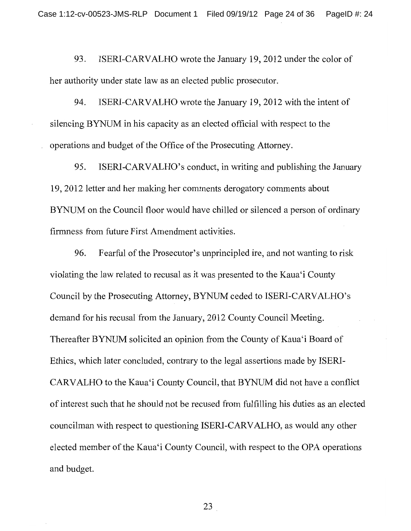93. ISERI-CARVALHO wrote the January 19, 2012 under the color of her authority under state law as an elected public prosecutor.

94. ISERI-CARVALHO wrote the January 19, 2012 with the intent of silencing BYNUM in his capacity as an elected official with respect to the operations and budget of the Office of the Prosecuting Attorney.

95. ISERI-CARVALHO's conduct, in writing and publishing the January 19, 2012 letter and her making her comments derogatory comments about BYNUM on the Council floor would have chilled or silenced a person of ordinary firmness from future First Amendment activities.

96. Fearful of the Prosecutor's unprincipled ire, and not wanting to risk violating the law related to recusal as it was presented to the Kaua'i County Council by the Prosecuting Attorney, BYNUM ceded to ISERI-CARVALHO's demand for his recusal from the January, 2012 County Council Meeting. Thereafter BYNUM solicited an opinion from the County of Kaua'i Board of Ethics, which later concluded, contrary to the legal assertions made by ISERI-CARVALHO to the Kaua'i County Council, that BYNUM did not have a conflict of interest such that he should not be recused from fulfilling his duties as an elected councilman with respect to questioning ISERI-CARVALHO, as would any other elected member of the Kaua'i County Council, with respect to the OPA operations and budget.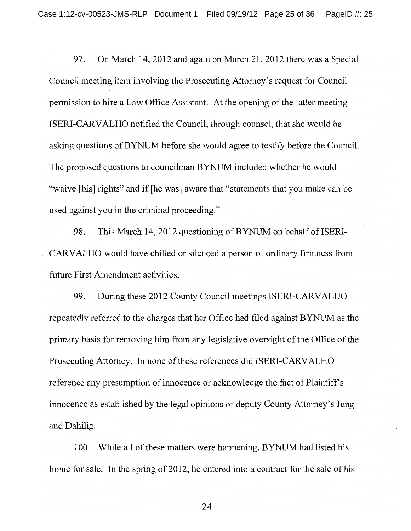97. On March 14, 2012 and again on March 21, 2012 there was a Special Council meeting item involving the Prosecuting Attorney's request for Council permission to hire a Law Office Assistant. At the opening of the latter meeting ISERI-CARVALHO notified the Council, through counsel, that she would be asking questions of BYNUM before she would agree to testify before the Council. The proposed questions to councilman BYNUM included whether he would "waive [his] rights" and if [he was] aware that "statements that you make can be used against you in the criminal proceeding."

98. This March 14, 2012 questioning of BYNUM on behalf of ISERI-CARVALHO would have chilled or silenced a person of ordinary firmness from future First Amendment activities.

During these 2012 County Council meetings ISERI-CARVALHO 99. repeatedly referred to the charges that her Office had filed against BYNUM as the primary basis for removing him from any legislative oversight of the Office of the Prosecuting Attorney. In none of these references did ISERI-CARVALHO reference any presumption of innocence or acknowledge the fact of Plaintiff's innocence as established by the legal opinions of deputy County Attorney's Jung and Dahilig.

100. While all of these matters were happening, BYNUM had listed his home for sale. In the spring of 2012, he entered into a contract for the sale of his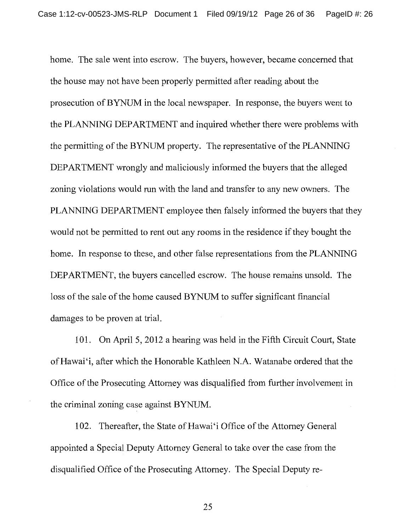home. The sale went into escrow. The buyers, however, became concerned that the house may not have been properly permitted after reading about the prosecution of BYNUM in the local newspaper. In response, the buyers went to the PLANNING DEPARTMENT and inquired whether there were problems with the permitting of the BYNUM property. The representative of the PLANNING DEPARTMENT wrongly and maliciously informed the buyers that the alleged zoning violations would run with the land and transfer to any new owners. The PLANNING DEPARTMENT employee then falsely informed the buyers that they would not be permitted to rent out any rooms in the residence if they bought the home. In response to these, and other false representations from the PLANNING DEPARTMENT, the buyers cancelled escrow. The house remains unsold. The loss of the sale of the home caused BYNUM to suffer significant financial damages to be proven at trial.

101. On April 5, 2012 a hearing was held in the Fifth Circuit Court, State of Hawai'i, after which the Honorable Kathleen N.A. Watanabe ordered that the Office of the Prosecuting Attorney was disqualified from further involvement in the criminal zoning case against BYNUM.

102. Thereafter, the State of Hawai'i Office of the Attorney General appointed a Special Deputy Attorney General to take over the case from the disqualified Office of the Prosecuting Attorney. The Special Deputy re-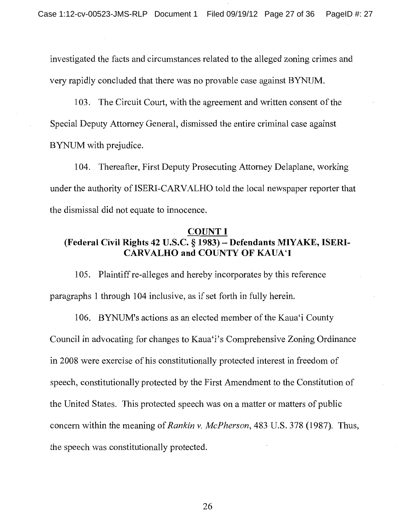investigated the facts and circumstances related to the alleged zoning crimes and very rapidly concluded that there was no provable case against BYNUM.

103. The Circuit Court, with the agreement and written consent of the Special Deputy Attorney General, dismissed the entire criminal case against BYNUM with prejudice.

104. Thereafter, First Deputy Prosecuting Attorney Delaplane, working under the authority of ISERI-CARVALHO told the local newspaper reporter that the dismissal did not equate to innocence.

## **COUNT I** (Federal Civil Rights 42 U.S.C. § 1983) - Defendants MIYAKE, ISERI-**CARVALHO and COUNTY OF KAUA'I**

105. Plaintiff re-alleges and hereby incorporates by this reference paragraphs 1 through 104 inclusive, as if set forth in fully herein.

106. BYNUM's actions as an elected member of the Kaua'i County Council in advocating for changes to Kaua'i's Comprehensive Zoning Ordinance in 2008 were exercise of his constitutionally protected interest in freedom of speech, constitutionally protected by the First Amendment to the Constitution of the United States. This protected speech was on a matter or matters of public concern within the meaning of Rankin v. McPherson, 483 U.S. 378 (1987). Thus, the speech was constitutionally protected.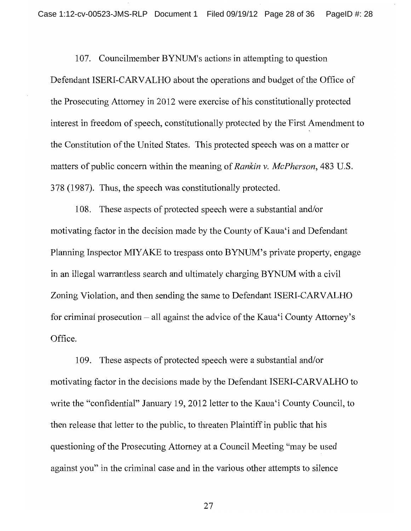107. Councilmember BYNUM's actions in attempting to question Defendant ISERI-CARVALHO about the operations and budget of the Office of the Prosecuting Attorney in 2012 were exercise of his constitutionally protected interest in freedom of speech, constitutionally protected by the First Amendment to the Constitution of the United States. This protected speech was on a matter or matters of public concern within the meaning of *Rankin v. McPherson*, 483 U.S. 378 (1987). Thus, the speech was constitutionally protected.

108. These aspects of protected speech were a substantial and/or motivating factor in the decision made by the County of Kaua'i and Defendant Planning Inspector MIYAKE to trespass onto BYNUM's private property, engage in an illegal warrantless search and ultimately charging BYNUM with a civil Zoning Violation, and then sending the same to Defendant ISERI-CARVALHO for criminal prosecution – all against the advice of the Kaua'i County Attorney's Office.

109. These aspects of protected speech were a substantial and/or motivating factor in the decisions made by the Defendant ISERI-CARVALHO to write the "confidential" January 19, 2012 letter to the Kaua'i County Council, to then release that letter to the public, to threaten Plaintiff in public that his questioning of the Prosecuting Attorney at a Council Meeting "may be used against you" in the criminal case and in the various other attempts to silence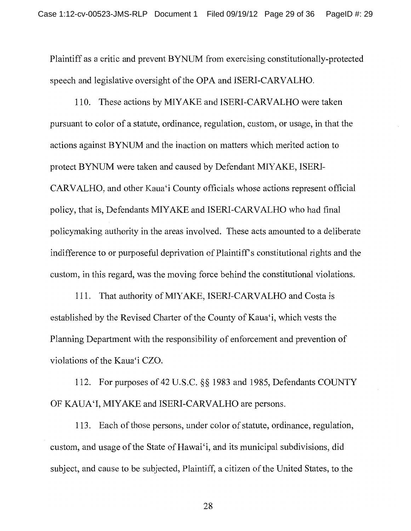Plaintiff as a critic and prevent BYNUM from exercising constitutionally-protected speech and legislative oversight of the OPA and ISERI-CARVALHO.

110. These actions by MIYAKE and ISERI-CARVALHO were taken pursuant to color of a statute, ordinance, regulation, custom, or usage, in that the actions against BYNUM and the inaction on matters which merited action to protect BYNUM were taken and caused by Defendant MIYAKE, ISERI-CARVALHO, and other Kaua'i County officials whose actions represent official policy, that is, Defendants MIYAKE and ISERI-CARVALHO who had final policymaking authority in the areas involved. These acts amounted to a deliberate indifference to or purposeful deprivation of Plaintiff's constitutional rights and the custom, in this regard, was the moving force behind the constitutional violations.

111. That authority of MIYAKE, ISERI-CARVALHO and Costa is established by the Revised Charter of the County of Kaua'i, which vests the Planning Department with the responsibility of enforcement and prevention of violations of the Kaua'i CZO.

112. For purposes of 42 U.S.C. §§ 1983 and 1985, Defendants COUNTY OF KAUA'I, MIYAKE and ISERI-CARVALHO are persons.

113. Each of those persons, under color of statute, ordinance, regulation, custom, and usage of the State of Hawai'i, and its municipal subdivisions, did subject, and cause to be subjected, Plaintiff, a citizen of the United States, to the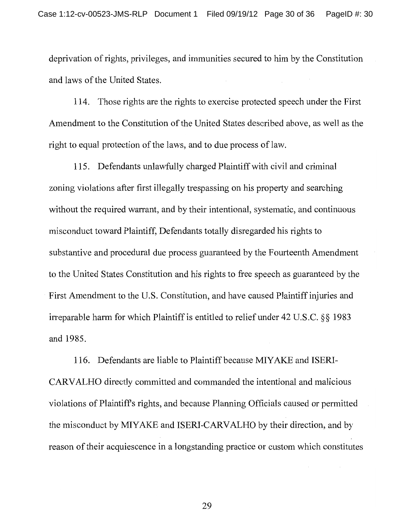deprivation of rights, privileges, and immunities secured to him by the Constitution and laws of the United States.

114. Those rights are the rights to exercise protected speech under the First Amendment to the Constitution of the United States described above, as well as the right to equal protection of the laws, and to due process of law.

115. Defendants unlawfully charged Plaintiff with civil and criminal zoning violations after first illegally trespassing on his property and searching without the required warrant, and by their intentional, systematic, and continuous misconduct toward Plaintiff, Defendants totally disregarded his rights to substantive and procedural due process guaranteed by the Fourteenth Amendment to the United States Constitution and his rights to free speech as guaranteed by the First Amendment to the U.S. Constitution, and have caused Plaintiff injuries and irreparable harm for which Plaintiff is entitled to relief under 42 U.S.C. §§ 1983 and 1985.

116. Defendants are liable to Plaintiff because MIYAKE and ISERI-CARVALHO directly committed and commanded the intentional and malicious violations of Plaintiff's rights, and because Planning Officials caused or permitted the misconduct by MIYAKE and ISERI-CARVALHO by their direction, and by reason of their acquiescence in a longstanding practice or custom which constitutes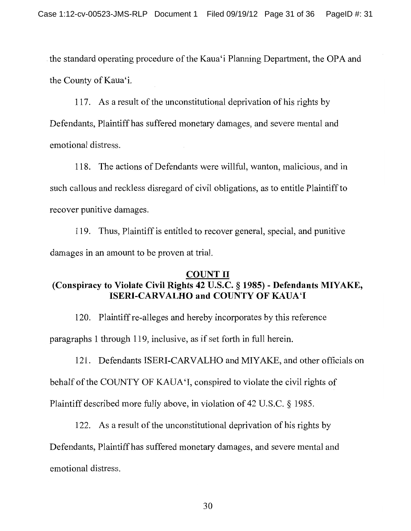the standard operating procedure of the Kaua'i Planning Department, the OPA and the County of Kaua'i.

117. As a result of the unconstitutional deprivation of his rights by Defendants, Plaintiff has suffered monetary damages, and severe mental and emotional distress.

118. The actions of Defendants were willful, wanton, malicious, and in such callous and reckless disregard of civil obligations, as to entitle Plaintiff to recover punitive damages.

119. Thus, Plaintiff is entitled to recover general, special, and punitive damages in an amount to be proven at trial.

# **COUNT II** (Conspiracy to Violate Civil Rights 42 U.S.C. § 1985) - Defendants MIYAKE, **ISERI-CARVALHO and COUNTY OF KAUA'I**

120. Plaint if re-alleges and hereby incorporates by this reference

paragraphs 1 through 119, inclusive, as if set forth in full herein.

121. Defendants ISERI-CARVALHO and MIYAKE, and other officials on

behalf of the COUNTY OF KAUA'I, conspired to violate the civil rights of

Plaintiff described more fully above, in violation of 42 U.S.C. § 1985.

122. As a result of the unconstitutional deprivation of his rights by

Defendants, Plaintiff has suffered monetary damages, and severe mental and emotional distress.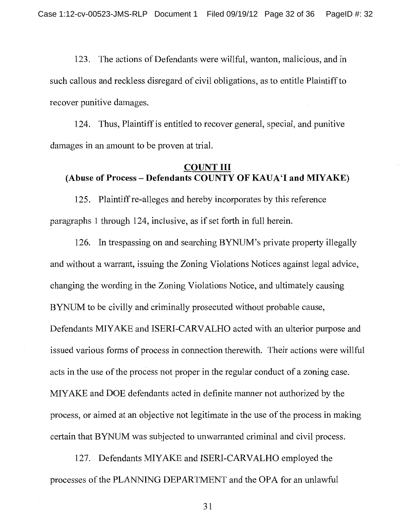123. The actions of Defendants were willful, wanton, malicious, and in such callous and reckless disregard of civil obligations, as to entitle Plaintiff to recover punitive damages.

124. Thus, Plaint if is entitled to recover general, special, and punitive damages in an amount to be proven at trial.

### **COUNT III** (Abuse of Process - Defendants COUNTY OF KAUA'I and MIYAKE)

125. Plaintiff re-alleges and hereby incorporates by this reference paragraphs 1 through 124, inclusive, as if set forth in full herein.

126. In trespassing on and searching BYNUM's private property illegally and without a warrant, issuing the Zoning Violations Notices against legal advice, changing the wording in the Zoning Violations Notice, and ultimately causing BYNUM to be civilly and criminally prosecuted without probable cause, Defendants MIYAKE and ISERI-CARVALHO acted with an ulterior purpose and issued various forms of process in connection therewith. Their actions were willful acts in the use of the process not proper in the regular conduct of a zoning case. MIYAKE and DOE defendants acted in definite manner not authorized by the process, or aimed at an objective not legitimate in the use of the process in making certain that BYNUM was subjected to unwarranted criminal and civil process.

127. Defendants MIYAKE and ISERI-CARVALHO employed the processes of the PLANNING DEPARTMENT and the OPA for an unlawful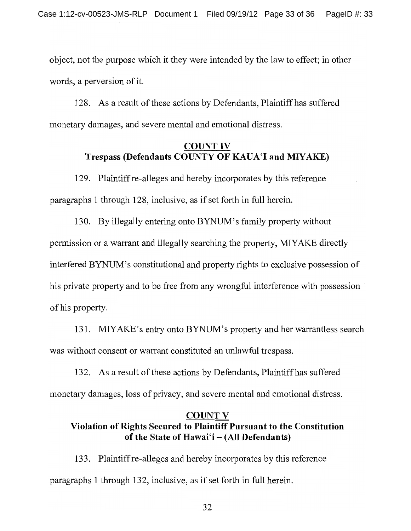object, not the purpose which it they were intended by the law to effect; in other words, a perversion of it.

128. As a result of these actions by Defendants, Plaintiff has suffered monetary damages, and severe mental and emotional distress.

## **COUNT IV** Trespass (Defendants COUNTY OF KAUA'I and MIYAKE)

129. Plaint if re-alleges and hereby incorporates by this reference paragraphs 1 through 128, inclusive, as if set forth in full herein.

130. By illegally entering onto BYNUM's family property without permission or a warrant and illegally searching the property, MIYAKE directly interfered BYNUM's constitutional and property rights to exclusive possession of his private property and to be free from any wrongful interference with possession of his property.

131. MIYAKE's entry onto BYNUM's property and her warrantless search was without consent or warrant constituted an unlawful trespass.

132. As a result of these actions by Defendants, Plaintiff has suffered monetary damages, loss of privacy, and severe mental and emotional distress.

# **COUNT V** Violation of Rights Secured to Plaintiff Pursuant to the Constitution of the State of Hawai'i - (All Defendants)

133. Plaintiff re-alleges and hereby incorporates by this reference paragraphs 1 through 132, inclusive, as if set forth in full herein.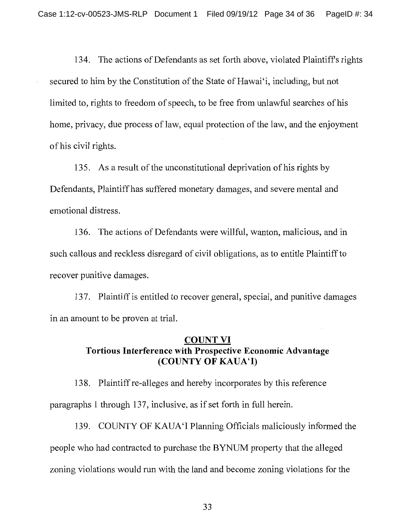134. The actions of Defendants as set forth above, violated Plaintiff's rights secured to him by the Constitution of the State of Hawai'i, including, but not limited to, rights to freedom of speech, to be free from unlawful searches of his home, privacy, due process of law, equal protection of the law, and the enjoyment of his civil rights.

135. As a result of the unconstitutional deprivation of his rights by Defendants, Plaintiff has suffered monetary damages, and severe mental and emotional distress.

136. The actions of Defendants were willful, wanton, malicious, and in such callous and reckless disregard of civil obligations, as to entitle Plaintiff to recover punitive damages.

137. Plaint if is entitled to recover general, special, and punitive damages in an amount to be proven at trial.

## **COUNT VI** Tortious Interference with Prospective Economic Advantage (COUNTY OF KAUA'I)

138. Plaintiff re-alleges and hereby incorporates by this reference paragraphs 1 through 137, inclusive, as if set forth in full herein.

139. COUNTY OF KAUA'I Planning Officials maliciously informed the people who had contracted to purchase the BYNUM property that the alleged zoning violations would run with the land and become zoning violations for the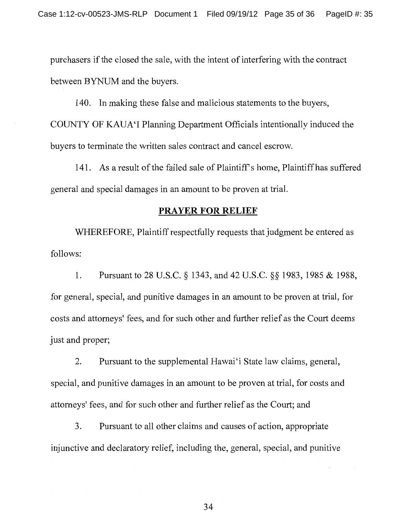purchasers if the closed the sale, with the intent of interfering with the contract between BYNUM and the buyers.

140. In making these false and malicious statements to the buyers, COUNTY OF KAUA'I Planning Department Officials intentionally induced the buyers to terminate the written sales contract and cancel escrow.

141. As a result of the failed sale of Plaintiff's home, Plaintiff has suffered general and special damages in an amount to be proven at trial.

### **PRAYER FOR RELIEF**

WHEREFORE, Plaintiff respectfully requests that judgment be entered as follows:

1. Pursuant to 28 U.S.C. § 1343, and 42 U.S.C. § § 1983, 1985 & 1988, for general, special, and punitive damages in an amount to be proven at trial, for costs and attorneys' fees, and for such other and further relief as the Court deems just and proper;

Pursuant to the supplemental Hawai'i State law claims, general,  $2.$ special, and punitive damages in an amount to be proven at trial, for costs and attorneys' fees, and for such other and further relief as the Court; and

 $\overline{3}$ . Pursuant to all other claims and causes of action, appropriate injunctive and declaratory relief, including the, general, special, and punitive